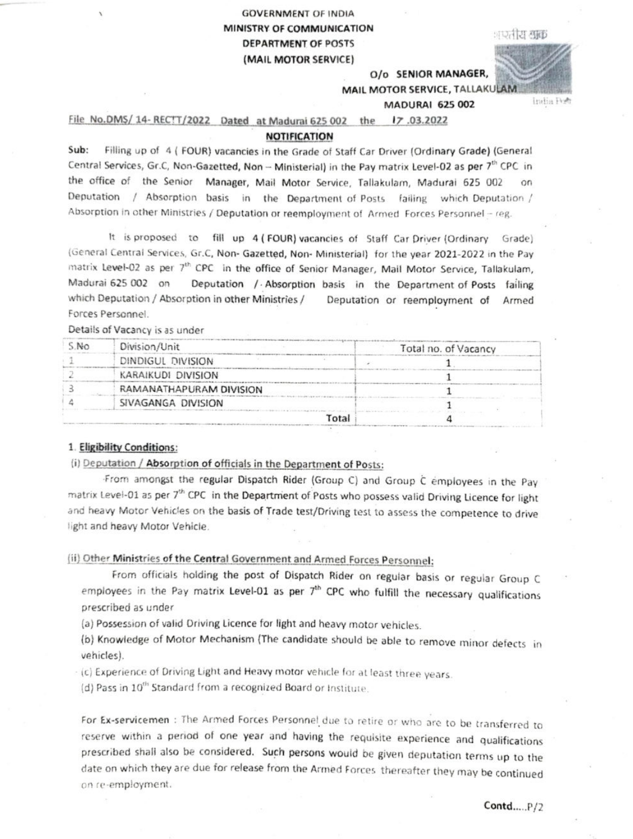# **GOVERNMENT OF INDIA** MINISTRY OF COMMUNICATION **DEPARTMENT OF POSTS** (MAIL MOTOR SERVICE)

|  | तीय श्रक |  |
|--|----------|--|

O/o SENIOR MANAGER,

India Poh

MAIL MOTOR SERVICE, TALLAKULAM

## **MADURAI 625 002**

File No.DMS/ 14- RECTT/2022 Dated at Madurai 625 002 the 17.03.2022

### **NOTIFICATION**

Sub: Filling up of 4 ( FOUR) vacancies in the Grade of Staff Car Driver (Ordinary Grade) (General Central Services, Gr.C, Non-Gazetted, Non -- Ministerial) in the Pay matrix Level-02 as per 7th CPC in the office of the Senior Manager, Mail Motor Service, Tallakulam, Madurai 625 002 Deputation / Absorption basis in the Department of Posts failing which Deputation / Absorption in other Ministries / Deputation or reemployment of Armed Forces Personnel - reg.

It is proposed to fill up 4 (FOUR) vacancies of Staff Car Driver (Ordinary Grade) (General Central Services, Gr.C, Non- Gazetted, Non- Ministerial) for the year 2021-2022 in the Pay matrix Level-02 as per 7th CPC in the office of Senior Manager, Mail Motor Service, Tallakulam, Deputation / Absorption basis in the Department of Posts failing Madurai 625 002 on which Deputation / Absorption in other Ministries / Deputation or reemployment of Armed Forces Personnel.

Details of Vacancy is as under

| S.No | Division/Unit           | Total no. of Vacancy |
|------|-------------------------|----------------------|
|      | DINDIGUL DIVISION       |                      |
|      | KARAIKUDI DIVISION      |                      |
|      | RAMANATHAPURAM DIVISION |                      |
|      | SIVAGANGA DIVISION      |                      |
|      | Total                   |                      |

#### 1. Eligibility Conditions:

## (i) Deputation / Absorption of officials in the Department of Posts:

From amongst the regular Dispatch Rider (Group C) and Group C employees in the Pay matrix Level-01 as per 7th CPC in the Department of Posts who possess valid Driving Licence for light and heavy Motor Vehicles on the basis of Trade test/Driving test to assess the competence to drive light and heavy Motor Vehicle.

## (ii) Other Ministries of the Central Government and Armed Forces Personnel:

From officials holding the post of Dispatch Rider on regular basis or regular Group C employees in the Pay matrix Level-01 as per 7<sup>th</sup> CPC who fulfill the necessary qualifications prescribed as under

(a) Possession of valid Driving Licence for light and heavy motor vehicles.

(b) Knowledge of Motor Mechanism (The candidate should be able to remove minor defects in vehicles).

(c) Experience of Driving Light and Heavy motor vehicle for at least three years.

(d) Pass in 10<sup>th</sup> Standard from a recognized Board or Institute.

For Ex-servicemen : The Armed Forces Personnel due to retire or who are to be transferred to reserve within a period of one year and having the requisite experience and qualifications prescribed shall also be considered. Such persons would be given deputation terms up to the date on which they are due for release from the Armed Forces thereafter they may be continued on re-employment.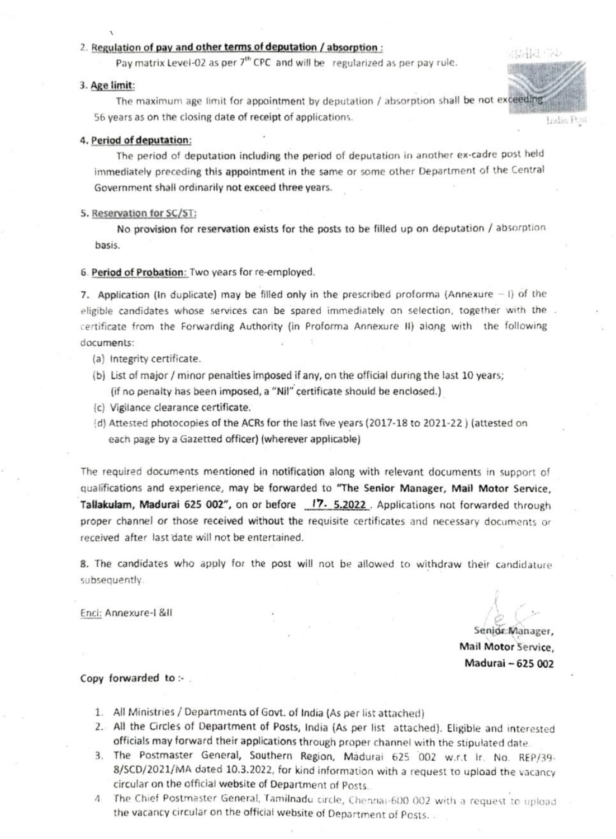## 2. Regulation of pay and other terms of deputation / absorption:

Pay matrix Level-02 as per  $7<sup>th</sup>$  CPC and will be regularized as per pay rule.

#### 3. Age limit:

The maximum age limit for appointment by deputation / absorption shall be not exceeding 56 years as on the closing date of receipt of applications.

### 4. Period of deputation:

The period of deputation including the period of deputation in another ex-cadre post held immediately preceding this appointment in the same or some other Department of the Central Government shall ordinarily not exceed three years.

#### 5. Reservation for SC/ST

No provision for reservation exists for the posts to be filed up on deputation/ absorption basis.

#### 6. Period of Probation: Two years for re-employed.

7. Application (In duplicate) may be filled only in the prescribed proforma (Annexure  $-1$ ) of the eligible candidates whose services can be spared immediately on selection, together with the. certificate from the Forwarding Authority (in Proforma Annexure II) along with the following documents:

- (a) Integrity certificate.
- (b} List of major / minor penalties imposed if any, on the official during the last 10 years; if no penaity has been imposed, a "Nil" certificate should be enclosed.)
- c) Vigiiance clearance certificate.
- d) Attested photocopies of the ACRs for the last five years (2017-18 to 2021-22 ) (attested on each page by a Gazetted officer) (wherever applicable)

The required documents mentioned in notification along with relevant documents in support of qualifications and experience, may be forwarded to "The Senior Manager, Mail Motor Service, Tallakulam, Madurai 625 002", on or before  $17.$  5.2022. Applications not forwarded through proper channel or those received without the requisite certificates and necessary documents or received after last date will not be entertained.

8. The candidates who apply for the post will not be allowed to withdraw their candidature subsequently.

Enci: Annexure-1 &ll

Senior Manager,

표정할 모

India Post

Mail Motor Service, Madurai-625 002

#### Copy forwarded to :- .

- 1. All Ministries /Departments of Govt. of tndia (As per list attached)
- 2. All the Circles of Department of Posts, India (As per list attached). Eligible and interested officials may forward their applications through proper channel with the stipulated date.
- 3. The Postmaster General, Southern Region, Madurai 625 002 w.r.t ir. No. REP/39 8/SCD/2021/MA dated 10.3.2022, for kind information with a request to upload the vacancy circular on the official website of Department of Posts.
- 4 The Chief Postrmaster General, Tamilnadu circle, Chennai-600 002 with a request to upioad the vacancy circular on the ofticiai website of Department of Posts. .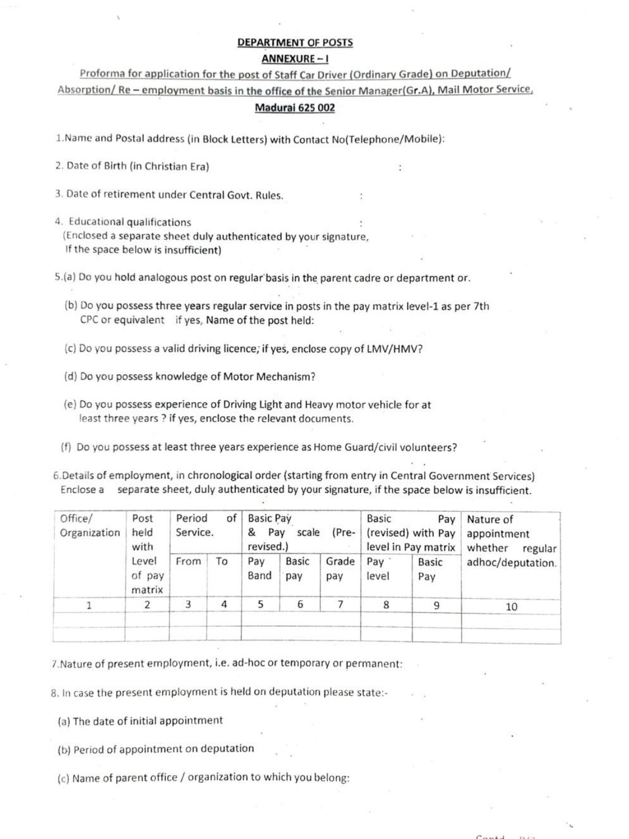### DEPARTMENT OF POSTS

### ANNEXURE

Proforma for application for the post of Staff Car Driver (Ordinary Grade) on Deputation/ Absorption/ Re - employment basis in the office of the Senior Manager(Gr.A), Mail Motor Service,

# Madurai 625 002

1.Name and Postal address (in Block Letters) with Contact No(Telephone/Mobile):

2. Date of Birth (in Christian Era)

3. Date of retirement under Central Govt. Rules.

4. Educational qualifications

(Enclosed a separate sheet duly authenticated by your signature, If the space below is insufficient)

5.(a) Do you hold analogous post on regular basis in the parent cadre or department or.

(b) Do you possess three years regular service in posts in the pay matrix level-1 as per 7th CPC or equivalent if yes, Name of the post held:

c) Do you possess a valid driving licence; if yes, enclose copy of LMV/HMV?

- (d) Do you possess knowledge of Motor Mechanism?
- (e) Do you possess experience of Driving Light and Heavy motor vehicle for at least three years ? if yes, enclose the relevant documents.

(f) Do you possess at least three years experience as Home Guard/civil volunteers?

6.Details of employment, in chronological order (starting from entry in Central Government Services) Enclose a separate sheet, duly authenticated by your signature, if the space below is insufficient.

| Office/<br>Organization | Post<br>held<br>with<br>Level<br>of pay<br>matrix | of<br>Period<br>Service. |    | <b>Basic Pay</b><br>(Pre-<br>&<br>Pay<br>scale<br>revised.) |                     | Basic<br>Pay<br>(revised) with Pay<br>level in Pay matrix |              | Nature of<br>appointment<br>whether<br>regular |                   |
|-------------------------|---------------------------------------------------|--------------------------|----|-------------------------------------------------------------|---------------------|-----------------------------------------------------------|--------------|------------------------------------------------|-------------------|
|                         |                                                   | From                     | To | Pay<br>Band                                                 | <b>Basic</b><br>pay | Grade<br>pay                                              | Pay<br>level | <b>Basic</b><br>Pay                            | adhoc/deputation. |
|                         |                                                   | 3                        | 4  | 5                                                           | 6                   |                                                           | 8            | q                                              | 10                |
|                         |                                                   |                          |    |                                                             |                     |                                                           |              |                                                |                   |

7. Nature of present employment, i.e. ad-hoc or temporary or permanent:

8. in case the present employment is held on deputation please state:

(a) The date of initial appointment

(b) Period of appointment on deputation

(c) Name of parent office/organization to which you belong: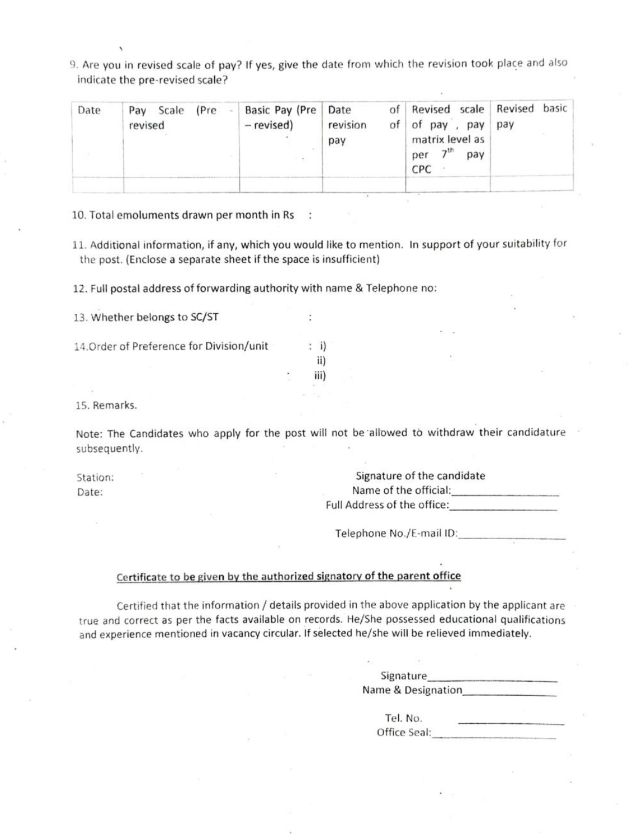9. Are you in revised scale of pay? If yes, give the date from which the revision took place and als0 indicate the pre-revised scale?

| Date | (Pre<br>Pay Scale<br>revised | Basic Pay (Pre   Date<br>- revised) | revision<br>of<br>pay | of Revised scale Revised basic<br>of pay, pay pay<br>matrix level as<br>7 <sup>th</sup><br>pay<br>per<br>CPC |  |
|------|------------------------------|-------------------------------------|-----------------------|--------------------------------------------------------------------------------------------------------------|--|
|      |                              |                                     |                       |                                                                                                              |  |

10. Total emoluments drawn per month in Rs

11. Additional information, if any, which you would like to mention. In support of your suitability for the post. (Enclose a separate sheet if the space is insufficient)

> i) ii) iii)

12. Full postal address of forwarding authority with name & Telephone no:

13. Whether belongs to SC/ST

14.0rder of Preference for Division/unit

15. Remarks.

Note: The Candidates who apply for the post will not be allowed to withdraw their candidature subsequently.

Station: Date:

Signature of the candidate Name of the official: **Name of the official**: Full Address of the office:

Telephone No./E-mail ID:

# Certificate to be given by the authorized signatory of the parent office

Certified that the information / details provided in the above application by the applicant are true and correct as per the facts available on records. He/She possessed educational qualifications and experience mentioned in vacancy circular. If selected he/she will be relieved immediately

| Signature          |  |
|--------------------|--|
| Name & Designation |  |

| Tel. No.     |  |
|--------------|--|
| Office Seal: |  |